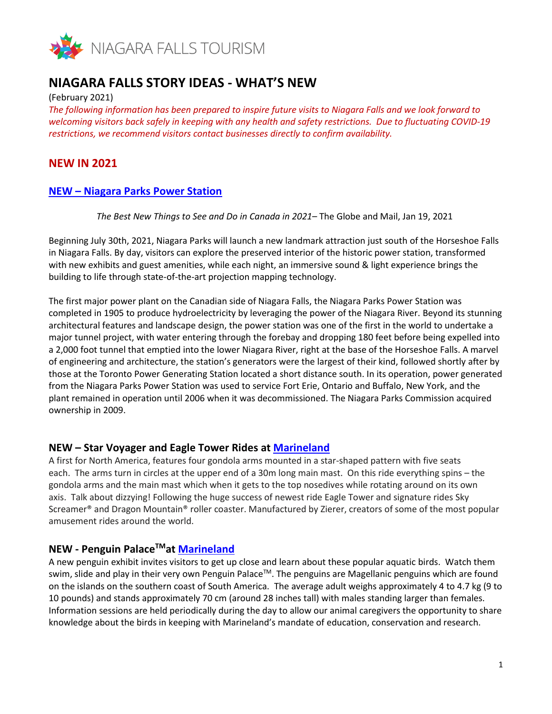

# **NIAGARA FALLS STORY IDEAS - WHAT'S NEW**

(February 2021)

*The following information has been prepared to inspire future visits to Niagara Falls and we look forward to welcoming visitors back safely in keeping with any health and safety restrictions. Due to fluctuating COVID-19 restrictions, we recommend visitors contact businesses directly to confirm availability.*

# **NEW IN 2021**

## **NEW – [Niagara Parks Power Station](https://can01.safelinks.protection.outlook.com/?url=https%3A%2F%2Fwww.niagaraparks.com%2Fvisit%2Fattractions%2Fcanadian-niagara-power-generating-station%2F&data=04%7C01%7Capril.kalloo%40bt.rogers.com%7Ca5949fa97cb04aca751008d8dd002af8%7C0ab4cbbf4bc74826b52ca14fed5286b9%7C0%7C0%7C637502340112651134%7CUnknown%7CTWFpbGZsb3d8eyJWIjoiMC4wLjAwMDAiLCJQIjoiV2luMzIiLCJBTiI6Ik1haWwiLCJXVCI6Mn0%3D%7C2000&sdata=Mv5F5dsfdaxOZSk1w%2BCGDwiLtLoRcvs4hYKqFBZwHiI%3D&reserved=0)**

*The Best New Things to See and Do in Canada in 2021*– The Globe and Mail, Jan 19, 2021

Beginning July 30th, 2021, Niagara Parks will launch a new landmark attraction just south of the Horseshoe Falls in Niagara Falls. By day, visitors can explore the preserved interior of the historic power station, transformed with new exhibits and guest amenities, while each night, an immersive sound & light experience brings the building to life through state-of-the-art projection mapping technology.

The first major power plant on the Canadian side of Niagara Falls, the Niagara Parks Power Station was completed in 1905 to produce hydroelectricity by leveraging the power of the Niagara River. Beyond its stunning architectural features and landscape design, the power station was one of the first in the world to undertake a major tunnel project, with water entering through the forebay and dropping 180 feet before being expelled into a 2,000 foot tunnel that emptied into the lower Niagara River, right at the base of the Horseshoe Falls. A marvel of engineering and architecture, the station's generators were the largest of their kind, followed shortly after by those at the Toronto Power Generating Station located a short distance south. In its operation, power generated from the Niagara Parks Power Station was used to service Fort Erie, Ontario and Buffalo, New York, and the plant remained in operation until 2006 when it was decommissioned. The Niagara Parks Commission acquired ownership in 2009.

## **NEW – Star Voyager and Eagle Tower Rides at [Marineland](https://can01.safelinks.protection.outlook.com/?url=https%3A%2F%2Fwww.niagarafallstourism.com%2Fplay%2Fthemeparks%2Fmarineland-canada%2F&data=04%7C01%7Capril.kalloo%40bt.rogers.com%7Ca5949fa97cb04aca751008d8dd002af8%7C0ab4cbbf4bc74826b52ca14fed5286b9%7C0%7C0%7C637502340112651134%7CUnknown%7CTWFpbGZsb3d8eyJWIjoiMC4wLjAwMDAiLCJQIjoiV2luMzIiLCJBTiI6Ik1haWwiLCJXVCI6Mn0%3D%7C2000&sdata=svNuJZtZTfjIGVMektwEs3nCuS1FNV2jnPDYfQX238Q%3D&reserved=0)**

A first for North America, features four gondola arms mounted in a star-shaped pattern with five seats each. The arms turn in circles at the upper end of a 30m long main mast. On this ride everything spins – the gondola arms and the main mast which when it gets to the top nosedives while rotating around on its own axis. Talk about dizzying! Following the huge success of newest ride Eagle Tower and signature rides Sky Screamer® and Dragon Mountain® roller coaster. Manufactured by Zierer, creators of some of the most popular amusement rides around the world.

## **NEW - Penguin PalaceTMat [Marineland](https://can01.safelinks.protection.outlook.com/?url=https%3A%2F%2Fwww.niagarafallstourism.com%2Fplay%2Fthemeparks%2Fmarineland-canada%2F&data=04%7C01%7Capril.kalloo%40bt.rogers.com%7Ca5949fa97cb04aca751008d8dd002af8%7C0ab4cbbf4bc74826b52ca14fed5286b9%7C0%7C0%7C637502340112661131%7CUnknown%7CTWFpbGZsb3d8eyJWIjoiMC4wLjAwMDAiLCJQIjoiV2luMzIiLCJBTiI6Ik1haWwiLCJXVCI6Mn0%3D%7C2000&sdata=EqyAyw0YV%2BUvAJaN3LIol9TZLXeUJ1%2FNDhxSiqOZrPM%3D&reserved=0)**

A new penguin exhibit invites visitors to get up close and learn about these popular aquatic birds. Watch them swim, slide and play in their very own Penguin Palace™. The penguins are Magellanic penguins which are found on the islands on the southern coast of South America. The average adult weighs approximately 4 to 4.7 kg (9 to 10 pounds) and stands approximately 70 cm (around 28 inches tall) with males standing larger than females. Information sessions are held periodically during the day to allow our animal caregivers the opportunity to share knowledge about the birds in keeping with Marineland's mandate of education, conservation and research.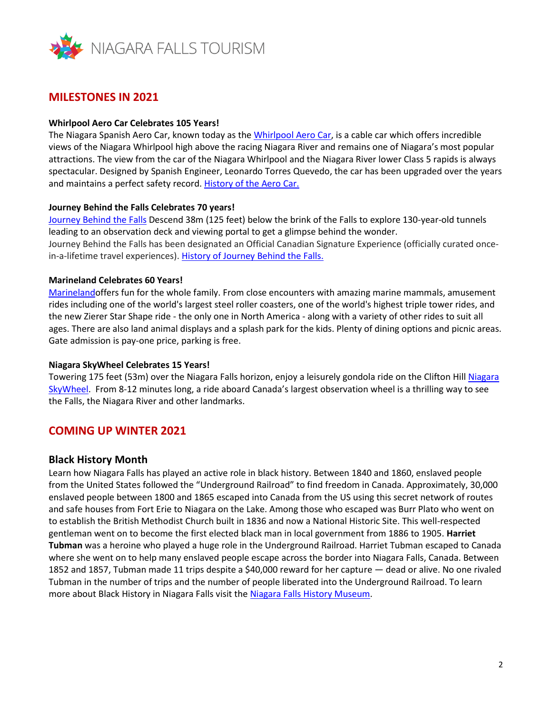

# **MILESTONES IN 2021**

#### **Whirlpool Aero Car Celebrates 105 Years!**

The Niagara Spanish Aero Car, known today as the [Whirlpool](https://can01.safelinks.protection.outlook.com/?url=https%3A%2F%2Fwww.niagarafallstourism.com%2Fplay%2Foutdoor-recreation%2Fwhirlpool-aero-car%2F&data=04%7C01%7Capril.kalloo%40bt.rogers.com%7Ca5949fa97cb04aca751008d8dd002af8%7C0ab4cbbf4bc74826b52ca14fed5286b9%7C0%7C0%7C637502340112661131%7CUnknown%7CTWFpbGZsb3d8eyJWIjoiMC4wLjAwMDAiLCJQIjoiV2luMzIiLCJBTiI6Ik1haWwiLCJXVCI6Mn0%3D%7C2000&sdata=48Zmb9eAGQIpELkLpj376b2gxcZfgGMrE25bAt8l3jQ%3D&reserved=0) Aero Car, is a cable car which offers incredible views of the Niagara Whirlpool high above the racing Niagara River and remains one of Niagara's most popular attractions. The view from the car of the Niagara Whirlpool and the Niagara River lower Class 5 rapids is always spectacular. Designed by Spanish Engineer, Leonardo Torres Quevedo, the car has been upgraded over the years and maintains a perfect safety record. [History](https://can01.safelinks.protection.outlook.com/?url=https%3A%2F%2Fwww.niagaraparks.com%2Fthings-to-do%2Fhistory-of-the-aero-car&data=04%7C01%7Capril.kalloo%40bt.rogers.com%7Ca5949fa97cb04aca751008d8dd002af8%7C0ab4cbbf4bc74826b52ca14fed5286b9%7C0%7C0%7C637502340112671128%7CUnknown%7CTWFpbGZsb3d8eyJWIjoiMC4wLjAwMDAiLCJQIjoiV2luMzIiLCJBTiI6Ik1haWwiLCJXVCI6Mn0%3D%7C2000&sdata=yue16TZUpyGnE0FkMFHoshL3%2FLeYF2aVZg%2F28dSGYu0%3D&reserved=0) of the Aero Car.

#### **Journey Behind the Falls Celebrates 70 years!**

[Journey](https://can01.safelinks.protection.outlook.com/?url=https%3A%2F%2Fwww.niagarafallstourism.com%2Fplay%2Ffalls-experiences%2Fjourney-behind-the-falls%2F&data=04%7C01%7Capril.kalloo%40bt.rogers.com%7Ca5949fa97cb04aca751008d8dd002af8%7C0ab4cbbf4bc74826b52ca14fed5286b9%7C0%7C0%7C637502340112671128%7CUnknown%7CTWFpbGZsb3d8eyJWIjoiMC4wLjAwMDAiLCJQIjoiV2luMzIiLCJBTiI6Ik1haWwiLCJXVCI6Mn0%3D%7C2000&sdata=pgYbuJWbNiCKNhGiZ%2F7zpeL05DSJCP8RF9J05fEj44E%3D&reserved=0) Behind the Falls Descend 38m (125 feet) below the brink of the Falls to explore 130-year-old tunnels leading to an observation deck and viewing portal to get a glimpse behind the wonder. Journey Behind the Falls has been designated an Official Canadian Signature Experience (officially curated oncein-a-lifetime travel experiences). History of [Journey](https://can01.safelinks.protection.outlook.com/?url=https%3A%2F%2Fwww.niagaraparks.com%2Fthings-to-do%2Fhistory-of-journey-behind-the-falls&data=04%7C01%7Capril.kalloo%40bt.rogers.com%7Ca5949fa97cb04aca751008d8dd002af8%7C0ab4cbbf4bc74826b52ca14fed5286b9%7C0%7C0%7C637502340112681120%7CUnknown%7CTWFpbGZsb3d8eyJWIjoiMC4wLjAwMDAiLCJQIjoiV2luMzIiLCJBTiI6Ik1haWwiLCJXVCI6Mn0%3D%7C2000&sdata=qBncA3nHgB%2FX%2B17kxD%2B%2FqAGfPpbNnX%2FF44YA5KUERw4%3D&reserved=0) Behind the Falls.

### **Marineland Celebrates 60 Years!**

[Marinelando](https://can01.safelinks.protection.outlook.com/?url=https%3A%2F%2Fwww.niagarafallstourism.com%2Fplay%2Fthemeparks%2Fmarineland-canada%2F&data=04%7C01%7Capril.kalloo%40bt.rogers.com%7Ca5949fa97cb04aca751008d8dd002af8%7C0ab4cbbf4bc74826b52ca14fed5286b9%7C0%7C0%7C637502340112681120%7CUnknown%7CTWFpbGZsb3d8eyJWIjoiMC4wLjAwMDAiLCJQIjoiV2luMzIiLCJBTiI6Ik1haWwiLCJXVCI6Mn0%3D%7C2000&sdata=PeZOZ578h%2F%2FI3g%2F7BaX3wpmYLd%2F5oSgws6P9zMfSCDg%3D&reserved=0)ffers fun for the whole family. From close encounters with amazing marine mammals, amusement rides including one of the world's largest steel roller coasters, one of the world's highest triple tower rides, and the new Zierer Star Shape ride - the only one in North America - along with a variety of other rides to suit all ages. There are also land animal displays and a splash park for the kids. Plenty of dining options and picnic areas. Gate admission is pay-one price, parking is free.

#### **Niagara SkyWheel Celebrates 15 Years!**

Towering 175 feet (53m) over the Niagara Falls horizon, enjoy a leisurely gondola ride on the Clifton Hill [Niagara](https://can01.safelinks.protection.outlook.com/?url=https%3A%2F%2Fwww.niagarafallstourism.com%2Fplay%2Fattractions%2Fniagara-skywheel%2F&data=04%7C01%7Capril.kalloo%40bt.rogers.com%7Ca5949fa97cb04aca751008d8dd002af8%7C0ab4cbbf4bc74826b52ca14fed5286b9%7C0%7C0%7C637502340112691111%7CUnknown%7CTWFpbGZsb3d8eyJWIjoiMC4wLjAwMDAiLCJQIjoiV2luMzIiLCJBTiI6Ik1haWwiLCJXVCI6Mn0%3D%7C2000&sdata=2RuYWySbIkPCMEEuG2cTPBAxEid%2BMGVTf3U0IspOKKU%3D&reserved=0) [SkyWheel.](https://can01.safelinks.protection.outlook.com/?url=https%3A%2F%2Fwww.niagarafallstourism.com%2Fplay%2Fattractions%2Fniagara-skywheel%2F&data=04%7C01%7Capril.kalloo%40bt.rogers.com%7Ca5949fa97cb04aca751008d8dd002af8%7C0ab4cbbf4bc74826b52ca14fed5286b9%7C0%7C0%7C637502340112691111%7CUnknown%7CTWFpbGZsb3d8eyJWIjoiMC4wLjAwMDAiLCJQIjoiV2luMzIiLCJBTiI6Ik1haWwiLCJXVCI6Mn0%3D%7C2000&sdata=2RuYWySbIkPCMEEuG2cTPBAxEid%2BMGVTf3U0IspOKKU%3D&reserved=0) From 8-12 minutes long, a ride aboard Canada's largest observation wheel is a thrilling way to see the Falls, the Niagara River and other landmarks.

# **COMING UP WINTER 2021**

### **Black History Month**

Learn how Niagara Falls has played an active role in black history. Between 1840 and 1860, enslaved people from the United States followed the "Underground Railroad" to find freedom in Canada. Approximately, 30,000 enslaved people between 1800 and 1865 escaped into Canada from the US using this secret network of routes and safe houses from Fort Erie to Niagara on the Lake. Among those who escaped was Burr Plato who went on to establish the British Methodist Church built in 1836 and now a National Historic Site. This well-respected gentleman went on to become the first elected black man in local government from 1886 to 1905. **Harriet Tubman** was a heroine who played a huge role in the Underground Railroad. Harriet Tubman escaped to Canada where she went on to help many enslaved people escape across the border into Niagara Falls, Canada. Between 1852 and 1857, Tubman made 11 trips despite a \$40,000 reward for her capture — dead or alive. No one rivaled Tubman in the number of trips and the number of people liberated into the Underground Railroad. To learn more about Black History in Niagara Falls visit the [Niagara Falls History Museum.](https://can01.safelinks.protection.outlook.com/?url=https%3A%2F%2Fwww.niagarafallstourism.com%2Fplay%2Fhistoric-sites%2Fniagara-falls-history-museum%2F&data=04%7C01%7Capril.kalloo%40bt.rogers.com%7Ca5949fa97cb04aca751008d8dd002af8%7C0ab4cbbf4bc74826b52ca14fed5286b9%7C0%7C0%7C637502340112691111%7CUnknown%7CTWFpbGZsb3d8eyJWIjoiMC4wLjAwMDAiLCJQIjoiV2luMzIiLCJBTiI6Ik1haWwiLCJXVCI6Mn0%3D%7C2000&sdata=raV2n6%2Bs6oNVhnEru3zIipjKT1772KInFoMC%2BLOxooE%3D&reserved=0)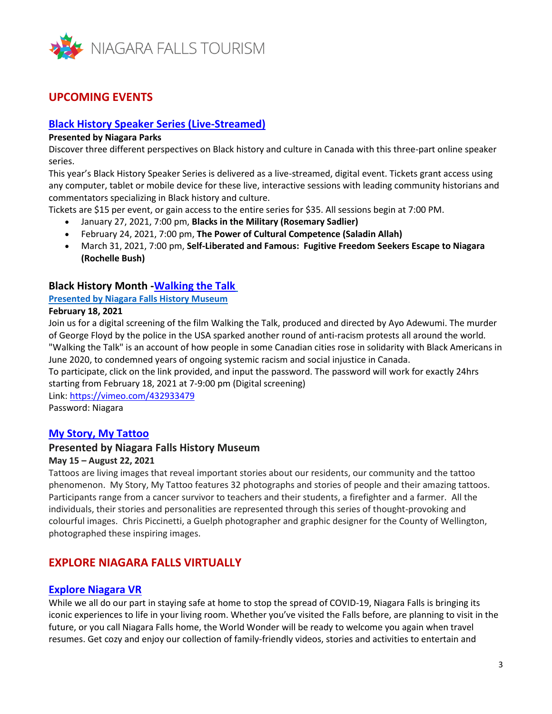

# **UPCOMING EVENTS**

# **[Black History Speaker Series \(Live-Streamed\)](https://can01.safelinks.protection.outlook.com/?url=https%3A%2F%2Fwww.niagaraparks.com%2Fevents%2Fevent%2Fblack-history-speaker-series&data=04%7C01%7Capril.kalloo%40bt.rogers.com%7Ca5949fa97cb04aca751008d8dd002af8%7C0ab4cbbf4bc74826b52ca14fed5286b9%7C0%7C0%7C637502340112701102%7CUnknown%7CTWFpbGZsb3d8eyJWIjoiMC4wLjAwMDAiLCJQIjoiV2luMzIiLCJBTiI6Ik1haWwiLCJXVCI6Mn0%3D%7C2000&sdata=YQhDPDxSYdd01vIaALfmjEwyluJd7TVJ%2FAVAB174Z3s%3D&reserved=0)**

#### **Presented by Niagara Parks**

Discover three different perspectives on Black history and culture in Canada with this three-part online speaker series.

This year's Black History Speaker Series is delivered as a live-streamed, digital event. Tickets grant access using any computer, tablet or mobile device for these live, interactive sessions with leading community historians and commentators specializing in Black history and culture.

Tickets are \$15 per event, or gain access to the entire series for \$35. All sessions begin at 7:00 PM.

- January 27, 2021, 7:00 pm, **Blacks in the Military (Rosemary Sadlier)**
- February 24, 2021, 7:00 pm, **The Power of Cultural Competence (Saladin Allah)**
- March 31, 2021, 7:00 pm, **Self-Liberated and Famous: Fugitive Freedom Seekers Escape to Niagara (Rochelle Bush)**

## **Black History Month [-Walking the Talk](https://can01.safelinks.protection.outlook.com/?url=https%3A%2F%2Fniagarafallsmuseums.ca%2Fevents%2Fcalendar&data=04%7C01%7Capril.kalloo%40bt.rogers.com%7Ca5949fa97cb04aca751008d8dd002af8%7C0ab4cbbf4bc74826b52ca14fed5286b9%7C0%7C0%7C637502340112701102%7CUnknown%7CTWFpbGZsb3d8eyJWIjoiMC4wLjAwMDAiLCJQIjoiV2luMzIiLCJBTiI6Ik1haWwiLCJXVCI6Mn0%3D%7C2000&sdata=4rTAGr3yQnYlcbgCJ9wU736Uwxb1K9B8r9D3fsjaZQ0%3D&reserved=0)**

#### **Presented by Niagara Falls History Museum**

#### **February 18, 2021**

Join us for a digital screening of the film Walking the Talk, produced and directed by Ayo Adewumi. The murder of George Floyd by the police in the USA sparked another round of anti-racism protests all around the world. "Walking the Talk" is an account of how people in some Canadian cities rose in solidarity with Black Americans in June 2020, to condemned years of ongoing systemic racism and social injustice in Canada.

To participate, click on the link provided, and input the password. The password will work for exactly 24hrs starting from February 18, 2021 at 7-9:00 pm (Digital screening)

Link: [https://vimeo.com/432933479](https://can01.safelinks.protection.outlook.com/?url=https%3A%2F%2Fvimeo.com%2F432933479&data=04%7C01%7Capril.kalloo%40bt.rogers.com%7Ca5949fa97cb04aca751008d8dd002af8%7C0ab4cbbf4bc74826b52ca14fed5286b9%7C0%7C0%7C637502340112701102%7CUnknown%7CTWFpbGZsb3d8eyJWIjoiMC4wLjAwMDAiLCJQIjoiV2luMzIiLCJBTiI6Ik1haWwiLCJXVCI6Mn0%3D%7C2000&sdata=NfiyKx6a7YRTO7qRz8ljU81UhfX1wQy3%2Bj%2FvSAbnOto%3D&reserved=0) Password: Niagara

## **[My Story, My Tattoo](https://can01.safelinks.protection.outlook.com/?url=https%3A%2F%2Fniagarafallsmuseums.ca%2Fexhibitions%2Ffuture%2Fmy-story-my-tattoo&data=04%7C01%7Capril.kalloo%40bt.rogers.com%7Ca5949fa97cb04aca751008d8dd002af8%7C0ab4cbbf4bc74826b52ca14fed5286b9%7C0%7C0%7C637502340112711096%7CUnknown%7CTWFpbGZsb3d8eyJWIjoiMC4wLjAwMDAiLCJQIjoiV2luMzIiLCJBTiI6Ik1haWwiLCJXVCI6Mn0%3D%7C2000&sdata=Nb%2FH1MYGCzDzSsfgNS6te88L4yiy35Xy%2FT4CaaVSB8U%3D&reserved=0)**

### **Presented by Niagara Falls History Museum**

### **May 15 – August 22, 2021**

Tattoos are living images that reveal important stories about our residents, our community and the tattoo phenomenon. My Story, My Tattoo features 32 photographs and stories of people and their amazing tattoos. Participants range from a cancer survivor to teachers and their students, a firefighter and a farmer. All the individuals, their stories and personalities are represented through this series of thought-provoking and colourful images. Chris Piccinetti, a Guelph photographer and graphic designer for the County of Wellington, photographed these inspiring images.

# **EXPLORE NIAGARA FALLS VIRTUALLY**

### **[Explore Niagara VR](https://can01.safelinks.protection.outlook.com/?url=https%3A%2F%2Fwww.niagarafallstourism.com%2Fblog%2Fhow-to-experience-the-wonder-of-niagara-falls-from-home%2F&data=04%7C01%7Capril.kalloo%40bt.rogers.com%7Ca5949fa97cb04aca751008d8dd002af8%7C0ab4cbbf4bc74826b52ca14fed5286b9%7C0%7C0%7C637502340112711096%7CUnknown%7CTWFpbGZsb3d8eyJWIjoiMC4wLjAwMDAiLCJQIjoiV2luMzIiLCJBTiI6Ik1haWwiLCJXVCI6Mn0%3D%7C2000&sdata=rpS6TNehprVCgXIvaUkS5X6SIBGiWNXcmtLBh%2B2yxsk%3D&reserved=0)**

While we all do our part in staying safe at home to stop the spread of COVID-19, Niagara Falls is bringing its iconic experiences to life in your living room. Whether you've visited the Falls before, are planning to visit in the future, or you call Niagara Falls home, the World Wonder will be ready to welcome you again when travel resumes. Get cozy and enjoy our collection of family-friendly videos, stories and activities to entertain and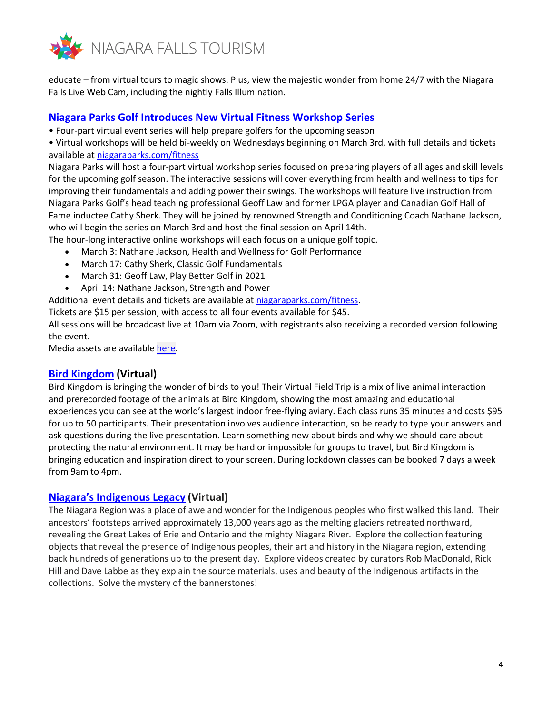

educate – from virtual tours to magic shows. Plus, view the majestic wonder from home 24/7 with the Niagara Falls Live Web Cam, including the nightly Falls Illumination.

### **[Niagara Parks Golf Introduces New Virtual Fitness Workshop Series](https://can01.safelinks.protection.outlook.com/?url=https%3A%2F%2Fwww.niagaraparks.com%2Fevents%2Fevent%2Fniagara-parks-golf-fitness-workshops&data=04%7C01%7Capril.kalloo%40bt.rogers.com%7Ca5949fa97cb04aca751008d8dd002af8%7C0ab4cbbf4bc74826b52ca14fed5286b9%7C0%7C0%7C637502340112721095%7CUnknown%7CTWFpbGZsb3d8eyJWIjoiMC4wLjAwMDAiLCJQIjoiV2luMzIiLCJBTiI6Ik1haWwiLCJXVCI6Mn0%3D%7C2000&sdata=r0naM%2FjWPM4Qz27NogCcplzlGfHmqGdlW4bx%2BNbrKoI%3D&reserved=0)**

• Four-part virtual event series will help prepare golfers for the upcoming season

• Virtual workshops will be held bi-weekly on Wednesdays beginning on March 3rd, with full details and tickets available at [niagaraparks.com/fitness](https://can01.safelinks.protection.outlook.com/?url=http%3A%2F%2Fniagaraparks.com%2Ffitness&data=04%7C01%7Capril.kalloo%40bt.rogers.com%7Ca5949fa97cb04aca751008d8dd002af8%7C0ab4cbbf4bc74826b52ca14fed5286b9%7C0%7C0%7C637502340112721095%7CUnknown%7CTWFpbGZsb3d8eyJWIjoiMC4wLjAwMDAiLCJQIjoiV2luMzIiLCJBTiI6Ik1haWwiLCJXVCI6Mn0%3D%7C2000&sdata=q2qORS6nJaqvDRpATd9CG0PRokRJdp1Y049YQNazSY4%3D&reserved=0)

Niagara Parks will host a four-part virtual workshop series focused on preparing players of all ages and skill levels for the upcoming golf season. The interactive sessions will cover everything from health and wellness to tips for improving their fundamentals and adding power their swings. The workshops will feature live instruction from Niagara Parks Golf's head teaching professional Geoff Law and former LPGA player and Canadian Golf Hall of Fame inductee Cathy Sherk. They will be joined by renowned Strength and Conditioning Coach Nathane Jackson, who will begin the series on March 3rd and host the final session on April 14th.

The hour-long interactive online workshops will each focus on a unique golf topic.

- March 3: Nathane Jackson, Health and Wellness for Golf Performance
- March 17: Cathy Sherk, Classic Golf Fundamentals
- March 31: Geoff Law, Play Better Golf in 2021
- April 14: Nathane Jackson, Strength and Power

Additional event details and tickets are available at [niagaraparks.com/fitness.](https://can01.safelinks.protection.outlook.com/?url=https%3A%2F%2Fwww.niagaraparks.com%2Fevents%2Fevent%2Fniagara-parks-golf-fitness-workshops&data=04%7C01%7Capril.kalloo%40bt.rogers.com%7Ca5949fa97cb04aca751008d8dd002af8%7C0ab4cbbf4bc74826b52ca14fed5286b9%7C0%7C0%7C637502340112731085%7CUnknown%7CTWFpbGZsb3d8eyJWIjoiMC4wLjAwMDAiLCJQIjoiV2luMzIiLCJBTiI6Ik1haWwiLCJXVCI6Mn0%3D%7C2000&sdata=vtk9bYgu55z6UAONxSjjO0NJpGDqS2EbrMjDPdRG6XI%3D&reserved=0)

Tickets are \$15 per session, with access to all four events available for \$45.

All sessions will be broadcast live at 10am via Zoom, with registrants also receiving a recorded version following the event.

Media assets are available [here.](https://can01.safelinks.protection.outlook.com/?url=https%3A%2F%2Fniagaraparks.sharepoint.com%2Fsites%2FNP-Marketing%2FShared%2520Documents%2FForms%2FAllItems.aspx%3Fid%3D%252Fsites%252FNP-Marketing%252FShared%2520Documents%252FMEDIA%2520LIBRARY%252FMedia%2520Packages%252FGolf%252FPhotos%252FGolf%2520Virtual%2520Programming%26p%3Dtrue%26originalPath%3DaHR0cHM6Ly9uaWFnYXJhcGFya3Muc2hhcmVwb2ludC5jb20vOmY6L3MvTlAtTWFya2V0aW5nL0VsVUg2a0l1bldwSnAybDYwQ2VsdG84QmNEb21Oamtja0UxdG5hZGtaS1NocXc_cnRpbWU9Qm5seTBhUGEyRWc&data=04%7C01%7Capril.kalloo%40bt.rogers.com%7Ca5949fa97cb04aca751008d8dd002af8%7C0ab4cbbf4bc74826b52ca14fed5286b9%7C0%7C0%7C637502340112731085%7CUnknown%7CTWFpbGZsb3d8eyJWIjoiMC4wLjAwMDAiLCJQIjoiV2luMzIiLCJBTiI6Ik1haWwiLCJXVCI6Mn0%3D%7C2000&sdata=dYlrC5MSLn1AY9jq2uGVOK6QXZC%2Fiz8YrNoXEE1MuHY%3D&reserved=0)

## **[Bird Kingdom](https://can01.safelinks.protection.outlook.com/?url=https%3A%2F%2Fwww.niagarafallstourism.com%2Fevents%2Fbird-kingdom-virtual-field-trip%2F&data=04%7C01%7Capril.kalloo%40bt.rogers.com%7Ca5949fa97cb04aca751008d8dd002af8%7C0ab4cbbf4bc74826b52ca14fed5286b9%7C0%7C0%7C637502340112741085%7CUnknown%7CTWFpbGZsb3d8eyJWIjoiMC4wLjAwMDAiLCJQIjoiV2luMzIiLCJBTiI6Ik1haWwiLCJXVCI6Mn0%3D%7C2000&sdata=%2BREGFWCcuA5QpDvbrSFORJJbOBmTyXVJQcSSpwPbGC8%3D&reserved=0) (Virtual)**

Bird Kingdom is bringing the wonder of birds to you! Their Virtual Field Trip is a mix of live animal interaction and prerecorded footage of the animals at Bird Kingdom, showing the most amazing and educational experiences you can see at the world's largest indoor free-flying aviary. Each class runs 35 minutes and costs \$95 for up to 50 participants. Their presentation involves audience interaction, so be ready to type your answers and ask questions during the live presentation. Learn something new about birds and why we should care about protecting the natural environment. It may be hard or impossible for groups to travel, but Bird Kingdom is bringing education and inspiration direct to your screen. During lockdown classes can be booked 7 days a week from 9am to 4pm.

### **[Niagara's Indigenous Legacy](https://can01.safelinks.protection.outlook.com/?url=https%3A%2F%2Fempathictraditions.ca%2F&data=04%7C01%7Capril.kalloo%40bt.rogers.com%7Ca5949fa97cb04aca751008d8dd002af8%7C0ab4cbbf4bc74826b52ca14fed5286b9%7C0%7C0%7C637502340112741085%7CUnknown%7CTWFpbGZsb3d8eyJWIjoiMC4wLjAwMDAiLCJQIjoiV2luMzIiLCJBTiI6Ik1haWwiLCJXVCI6Mn0%3D%7C2000&sdata=BJHx99vKwhvfnHhAUFNOQ8GQ3Tq3M5%2FyIcw5ealvBEk%3D&reserved=0) (Virtual)**

The Niagara Region was a place of awe and wonder for the Indigenous peoples who first walked this land. Their ancestors' footsteps arrived approximately 13,000 years ago as the melting glaciers retreated northward, revealing the Great Lakes of Erie and Ontario and the mighty Niagara River. Explore the collection featuring objects that reveal the presence of Indigenous peoples, their art and history in the Niagara region, extending back hundreds of generations up to the present day. Explore videos created by curators Rob MacDonald, Rick Hill and Dave Labbe as they explain the source materials, uses and beauty of the Indigenous artifacts in the collections. Solve the mystery of the bannerstones!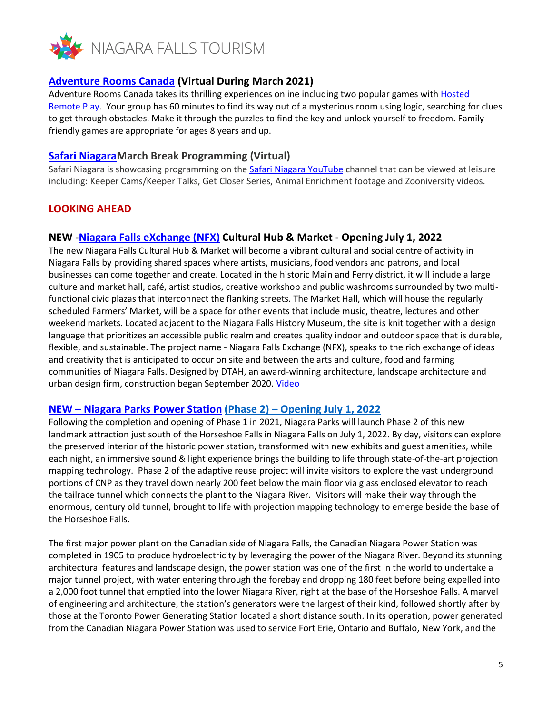

# **[Adventure Rooms Canada](https://can01.safelinks.protection.outlook.com/?url=https%3A%2F%2Fwww.niagarafallstourism.com%2Fplay%2Fattractions%2Fadventure-rooms-canada%2F&data=04%7C01%7Capril.kalloo%40bt.rogers.com%7Ca5949fa97cb04aca751008d8dd002af8%7C0ab4cbbf4bc74826b52ca14fed5286b9%7C0%7C0%7C637502340112751078%7CUnknown%7CTWFpbGZsb3d8eyJWIjoiMC4wLjAwMDAiLCJQIjoiV2luMzIiLCJBTiI6Ik1haWwiLCJXVCI6Mn0%3D%7C2000&sdata=VBhQu1a9ASTfG6M1NtyhZR44TP1hNyMXoPiDjv54sVA%3D&reserved=0) (Virtual During March 2021)**

Adventure Rooms Canada takes its thrilling experiences online including two popular games with [Hosted](https://can01.safelinks.protection.outlook.com/?url=https%3A%2F%2Fadventurerooms.ca%2F&data=04%7C01%7Capril.kalloo%40bt.rogers.com%7Ca5949fa97cb04aca751008d8dd002af8%7C0ab4cbbf4bc74826b52ca14fed5286b9%7C0%7C0%7C637502340112751078%7CUnknown%7CTWFpbGZsb3d8eyJWIjoiMC4wLjAwMDAiLCJQIjoiV2luMzIiLCJBTiI6Ik1haWwiLCJXVCI6Mn0%3D%7C2000&sdata=9rjMJFp8iUnEhnRjD13SK74vVmuA%2B8kcd8RxtUg1S2s%3D&reserved=0)  [Remote Play.](https://can01.safelinks.protection.outlook.com/?url=https%3A%2F%2Fadventurerooms.ca%2F&data=04%7C01%7Capril.kalloo%40bt.rogers.com%7Ca5949fa97cb04aca751008d8dd002af8%7C0ab4cbbf4bc74826b52ca14fed5286b9%7C0%7C0%7C637502340112751078%7CUnknown%7CTWFpbGZsb3d8eyJWIjoiMC4wLjAwMDAiLCJQIjoiV2luMzIiLCJBTiI6Ik1haWwiLCJXVCI6Mn0%3D%7C2000&sdata=9rjMJFp8iUnEhnRjD13SK74vVmuA%2B8kcd8RxtUg1S2s%3D&reserved=0) Your group has 60 minutes to find its way out of a mysterious room using logic, searching for clues to get through obstacles. Make it through the puzzles to find the key and unlock yourself to freedom. Family friendly games are appropriate for ages 8 years and up.

## **[Safari NiagaraM](https://can01.safelinks.protection.outlook.com/?url=https%3A%2F%2Fsafariniagara.com%2F&data=04%7C01%7Capril.kalloo%40bt.rogers.com%7Ca5949fa97cb04aca751008d8dd002af8%7C0ab4cbbf4bc74826b52ca14fed5286b9%7C0%7C0%7C637502340112761072%7CUnknown%7CTWFpbGZsb3d8eyJWIjoiMC4wLjAwMDAiLCJQIjoiV2luMzIiLCJBTiI6Ik1haWwiLCJXVCI6Mn0%3D%7C2000&sdata=HR2BYzQZt7JzITx99kNj77wjF8RaBIgfC9A4%2F%2Be3PVQ%3D&reserved=0)arch Break Programming (Virtual)**

Safari Niagara is showcasing programming on the [Safari Niagara YouTube](https://can01.safelinks.protection.outlook.com/?url=https%3A%2F%2Fwww.youtube.com%2Fchannel%2FUCi31HO-F8zXfnYuIGqCWPaA%2520.&data=04%7C01%7Capril.kalloo%40bt.rogers.com%7Ca5949fa97cb04aca751008d8dd002af8%7C0ab4cbbf4bc74826b52ca14fed5286b9%7C0%7C0%7C637502340112761072%7CUnknown%7CTWFpbGZsb3d8eyJWIjoiMC4wLjAwMDAiLCJQIjoiV2luMzIiLCJBTiI6Ik1haWwiLCJXVCI6Mn0%3D%7C2000&sdata=0vi6af1hwcOqqFtzrwHWT9L06MnmvQ%2FagDzELCYUyjQ%3D&reserved=0) channel that can be viewed at leisure including: Keeper Cams/Keeper Talks, Get Closer Series, Animal Enrichment footage and Zooniversity videos.

# **LOOKING AHEAD**

## **NEW [-Niagara Falls eXchange \(NFX\)](https://can01.safelinks.protection.outlook.com/?url=https%3A%2F%2Fletstalk.niagarafalls.ca%2Fculturalhubandmarket&data=04%7C01%7Capril.kalloo%40bt.rogers.com%7Ca5949fa97cb04aca751008d8dd002af8%7C0ab4cbbf4bc74826b52ca14fed5286b9%7C0%7C0%7C637502340112771064%7CUnknown%7CTWFpbGZsb3d8eyJWIjoiMC4wLjAwMDAiLCJQIjoiV2luMzIiLCJBTiI6Ik1haWwiLCJXVCI6Mn0%3D%7C2000&sdata=6TYvdEp87Rp8DLe9jWrrUZqv%2B41QW3w%2BMUVtJwLO9Fg%3D&reserved=0) Cultural Hub & Market - Opening July 1, 2022**

The new Niagara Falls Cultural Hub & Market will become a vibrant cultural and social centre of activity in Niagara Falls by providing shared spaces where artists, musicians, food vendors and patrons, and local businesses can come together and create. Located in the historic Main and Ferry district, it will include a large culture and market hall, café, artist studios, creative workshop and public washrooms surrounded by two multifunctional civic plazas that interconnect the flanking streets. The Market Hall, which will house the regularly scheduled Farmers' Market, will be a space for other events that include music, theatre, lectures and other weekend markets. Located adjacent to the Niagara Falls History Museum, the site is knit together with a design language that prioritizes an accessible public realm and creates quality indoor and outdoor space that is durable, flexible, and sustainable. The project name - Niagara Falls Exchange (NFX), speaks to the rich exchange of ideas and creativity that is anticipated to occur on site and between the arts and culture, food and farming communities of Niagara Falls. Designed by DTAH, an award-winning architecture, landscape architecture and urban design firm, construction began September 2020. [Video](https://can01.safelinks.protection.outlook.com/?url=https%3A%2F%2Fwww.youtube.com%2Fwatch%3Fv%3Dk1fFCkGV1to%26feature%3Demb_logo&data=04%7C01%7Capril.kalloo%40bt.rogers.com%7Ca5949fa97cb04aca751008d8dd002af8%7C0ab4cbbf4bc74826b52ca14fed5286b9%7C0%7C0%7C637502340112771064%7CUnknown%7CTWFpbGZsb3d8eyJWIjoiMC4wLjAwMDAiLCJQIjoiV2luMzIiLCJBTiI6Ik1haWwiLCJXVCI6Mn0%3D%7C2000&sdata=7%2FK4bhVA2QvXKfZlf%2FG%2B1TPjCXitFzUzndui7e5ESUM%3D&reserved=0)

### **NEW – Niagara Parks [Power Station](https://can01.safelinks.protection.outlook.com/?url=https%3A%2F%2Fwww.niagaraparks.com%2Fvisit%2Fattractions%2Fcanadian-niagara-power-generating-station%2F&data=04%7C01%7Capril.kalloo%40bt.rogers.com%7Ca5949fa97cb04aca751008d8dd002af8%7C0ab4cbbf4bc74826b52ca14fed5286b9%7C0%7C0%7C637502340112771064%7CUnknown%7CTWFpbGZsb3d8eyJWIjoiMC4wLjAwMDAiLCJQIjoiV2luMzIiLCJBTiI6Ik1haWwiLCJXVCI6Mn0%3D%7C2000&sdata=XN1Tn69tT5I4up00t4Z3iJVUwxPyYTnvsZB%2BQy68odo%3D&reserved=0) (Phase 2) – Opening July 1, 2022**

Following the completion and opening of Phase 1 in 2021, Niagara Parks will launch Phase 2 of this new landmark attraction just south of the Horseshoe Falls in Niagara Falls on July 1, 2022. By day, visitors can explore the preserved interior of the historic power station, transformed with new exhibits and guest amenities, while each night, an immersive sound & light experience brings the building to life through state-of-the-art projection mapping technology. Phase 2 of the adaptive reuse project will invite visitors to explore the vast underground portions of CNP as they travel down nearly 200 feet below the main floor via glass enclosed elevator to reach the tailrace tunnel which connects the plant to the Niagara River. Visitors will make their way through the enormous, century old tunnel, brought to life with projection mapping technology to emerge beside the base of the Horseshoe Falls.

The first major power plant on the Canadian side of Niagara Falls, the Canadian Niagara Power Station was completed in 1905 to produce hydroelectricity by leveraging the power of the Niagara River. Beyond its stunning architectural features and landscape design, the power station was one of the first in the world to undertake a major tunnel project, with water entering through the forebay and dropping 180 feet before being expelled into a 2,000 foot tunnel that emptied into the lower Niagara River, right at the base of the Horseshoe Falls. A marvel of engineering and architecture, the station's generators were the largest of their kind, followed shortly after by those at the Toronto Power Generating Station located a short distance south. In its operation, power generated from the Canadian Niagara Power Station was used to service Fort Erie, Ontario and Buffalo, New York, and the